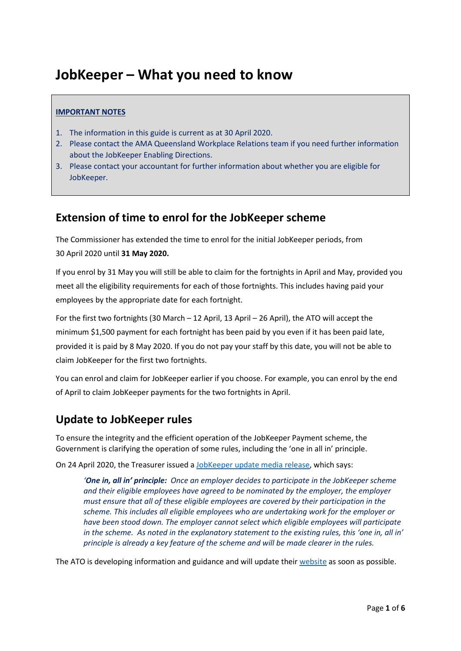# **JobKeeper – What you need to know**

#### **IMPORTANT NOTES**

- 1. The information in this guide is current as at 30 April 2020.
- 2. Please contact the AMA Queensland Workplace Relations team if you need further information about the JobKeeper Enabling Directions.
- 3. Please contact your accountant for further information about whether you are eligible for JobKeeper.

## **Extension of time to enrol for the JobKeeper scheme**

The Commissioner has extended the time to enrol for the initial JobKeeper periods, from 30 April 2020 until **31 May 2020.**

If you enrol by 31 May you will still be able to claim for the fortnights in April and May, provided you meet all the eligibility requirements for each of those fortnights. This includes having paid your employees by the appropriate date for each fortnight.

For the first two fortnights (30 March – 12 April, 13 April – 26 April), the ATO will accept the minimum \$1,500 payment for each fortnight has been paid by you even if it has been paid late, provided it is paid by 8 May 2020. If you do not pay your staff by this date, you will not be able to claim JobKeeper for the first two fortnights.

You can enrol and claim for JobKeeper earlier if you choose. For example, you can enrol by the end of April to claim JobKeeper payments for the two fortnights in April.

# **Update to JobKeeper rules**

To ensure the integrity and the efficient operation of the JobKeeper Payment scheme, the Government is clarifying the operation of some rules, including the 'one in all in' principle.

On 24 April 2020, the Treasurer issued a [JobKeeper update media release,](https://ministers.treasury.gov.au/ministers/josh-frydenberg-2018/media-releases/jobkeeper-update) which says:

*'One in, all in' principle: Once an employer decides to participate in the JobKeeper scheme and their eligible employees have agreed to be nominated by the employer, the employer must ensure that all of these eligible employees are covered by their participation in the scheme. This includes all eligible employees who are undertaking work for the employer or have been stood down. The employer cannot select which eligible employees will participate in the scheme. As noted in the explanatory statement to the existing rules, this 'one in, all in' principle is already a key feature of the scheme and will be made clearer in the rules.*

The ATO is developing information and guidance and will update their [website](https://www.ato.gov.au/general/JobKeeper-Payment) as soon as possible.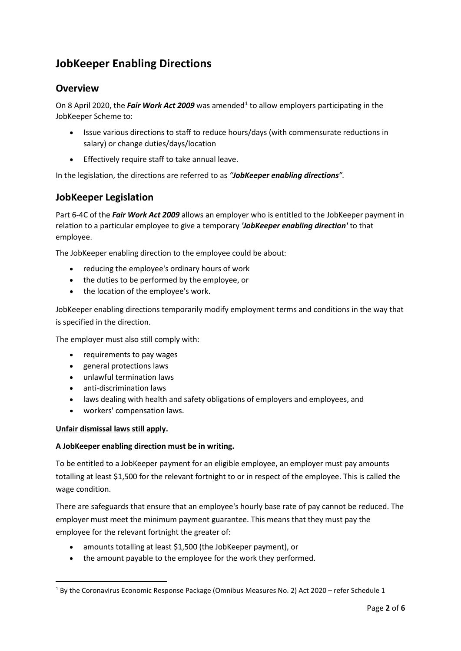# **JobKeeper Enabling Directions**

### **Overview**

On 8 April 2020, the *Fair Work Act 2009* was amended<sup>[1](#page-1-0)</sup> to allow employers participating in the JobKeeper Scheme to:

- Issue various directions to staff to reduce hours/days (with commensurate reductions in salary) or change duties/days/location
- Effectively require staff to take annual leave.

In the legislation, the directions are referred to as *"JobKeeper enabling directions".*

### **JobKeeper Legislation**

Part 6-4C of the *Fair Work Act 2009* allows an employer who is entitled to the JobKeeper payment in relation to a particular employee to give a temporary *'JobKeeper enabling direction'* to that employee.

The JobKeeper enabling direction to the employee could be about:

- reducing the employee's ordinary hours of work
- the duties to be performed by the employee, or
- the location of the employee's work.

JobKeeper enabling directions temporarily modify employment terms and conditions in the way that is specified in the direction.

The employer must also still comply with:

- requirements to pay wages
- general protections laws
- unlawful termination laws
- anti-discrimination laws
- laws dealing with health and safety obligations of employers and employees, and
- workers' compensation laws.

#### **Unfair dismissal laws still apply.**

#### **A JobKeeper enabling direction must be in writing.**

To be entitled to a JobKeeper payment for an eligible employee, an employer must pay amounts totalling at least \$1,500 for the relevant fortnight to or in respect of the employee. This is called the wage condition.

There are safeguards that ensure that an employee's hourly base rate of pay cannot be reduced. The employer must meet the minimum payment guarantee. This means that they must pay the employee for the relevant fortnight the greater of:

- amounts totalling at least \$1,500 (the JobKeeper payment), or
- the amount payable to the employee for the work they performed.

<span id="page-1-0"></span> $1$  By the Coronavirus Economic Response Package (Omnibus Measures No. 2) Act 2020 – refer Schedule 1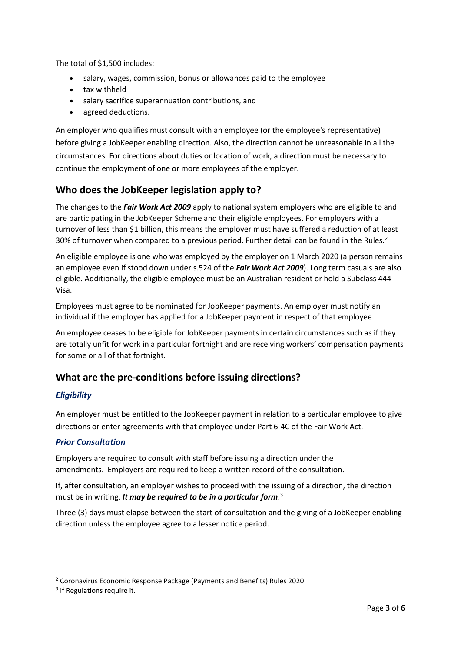The total of \$1,500 includes:

- salary, wages, commission, bonus or allowances paid to the employee
- tax withheld
- salary sacrifice superannuation contributions, and
- agreed deductions.

An employer who qualifies must consult with an employee (or the employee's representative) before giving a JobKeeper enabling direction. Also, the direction cannot be unreasonable in all the circumstances. For directions about duties or location of work, a direction must be necessary to continue the employment of one or more employees of the employer.

### **Who does the JobKeeper legislation apply to?**

The changes to the *Fair Work Act 2009* apply to national system employers who are eligible to and are participating in the JobKeeper Scheme and their eligible employees. For employers with a turnover of less than \$1 billion, this means the employer must have suffered a reduction of at least 30% of turnover when compared to a previous period. Further detail can be found in the Rules. $2$ 

An eligible employee is one who was employed by the employer on 1 March 2020 (a person remains an employee even if stood down under s.524 of the *Fair Work Act 2009*). Long term casuals are also eligible. Additionally, the eligible employee must be an Australian resident or hold a Subclass 444 Visa.

Employees must agree to be nominated for JobKeeper payments. An employer must notify an individual if the employer has applied for a JobKeeper payment in respect of that employee.

An employee ceases to be eligible for JobKeeper payments in certain circumstances such as if they are totally unfit for work in a particular fortnight and are receiving workers' compensation payments for some or all of that fortnight.

### **What are the pre-conditions before issuing directions?**

#### *Eligibility*

An employer must be entitled to the JobKeeper payment in relation to a particular employee to give directions or enter agreements with that employee under Part 6-4C of the Fair Work Act.

#### *Prior Consultation*

Employers are required to consult with staff before issuing a direction under the amendments. Employers are required to keep a written record of the consultation.

If, after consultation, an employer wishes to proceed with the issuing of a direction, the direction must be in writing. *It may be required to be in a particular form*. [3](#page-2-1)

Three (3) days must elapse between the start of consultation and the giving of a JobKeeper enabling direction unless the employee agree to a lesser notice period.

<span id="page-2-0"></span> <sup>2</sup> Coronavirus Economic Response Package (Payments and Benefits) Rules 2020

<span id="page-2-1"></span> $3$  If Regulations require it.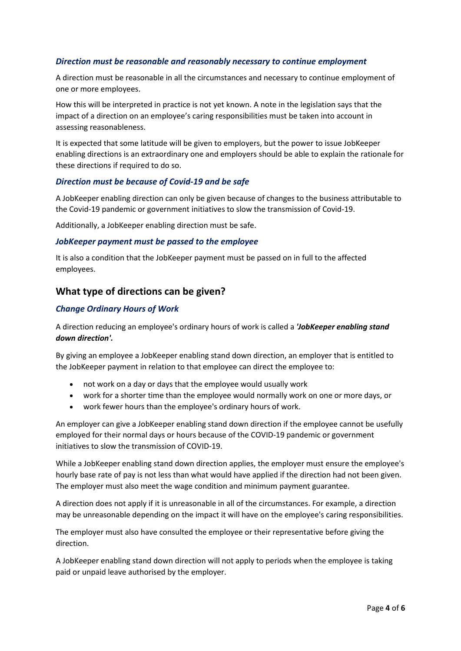#### *Direction must be reasonable and reasonably necessary to continue employment*

A direction must be reasonable in all the circumstances and necessary to continue employment of one or more employees.

How this will be interpreted in practice is not yet known. A note in the legislation says that the impact of a direction on an employee's caring responsibilities must be taken into account in assessing reasonableness.

It is expected that some latitude will be given to employers, but the power to issue JobKeeper enabling directions is an extraordinary one and employers should be able to explain the rationale for these directions if required to do so.

#### *Direction must be because of Covid-19 and be safe*

A JobKeeper enabling direction can only be given because of changes to the business attributable to the Covid-19 pandemic or government initiatives to slow the transmission of Covid-19.

Additionally, a JobKeeper enabling direction must be safe.

#### *JobKeeper payment must be passed to the employee*

It is also a condition that the JobKeeper payment must be passed on in full to the affected employees.

#### **What type of directions can be given?**

#### *Change Ordinary Hours of Work*

A direction reducing an employee's ordinary hours of work is called a *'JobKeeper enabling stand down direction'.*

By giving an employee a JobKeeper enabling stand down direction, an employer that is entitled to the JobKeeper payment in relation to that employee can direct the employee to:

- not work on a day or days that the employee would usually work
- work for a shorter time than the employee would normally work on one or more days, or
- work fewer hours than the employee's ordinary hours of work.

An employer can give a JobKeeper enabling stand down direction if the employee cannot be usefully employed for their normal days or hours because of the COVID-19 pandemic or government initiatives to slow the transmission of COVID-19.

While a JobKeeper enabling stand down direction applies, the employer must ensure the employee's hourly base rate of pay is not less than what would have applied if the direction had not been given. The employer must also meet the wage condition and minimum payment guarantee.

A direction does not apply if it is unreasonable in all of the circumstances. For example, a direction may be unreasonable depending on the impact it will have on the employee's caring responsibilities.

The employer must also have consulted the employee or their representative before giving the direction.

A JobKeeper enabling stand down direction will not apply to periods when the employee is taking paid or unpaid leave authorised by the employer.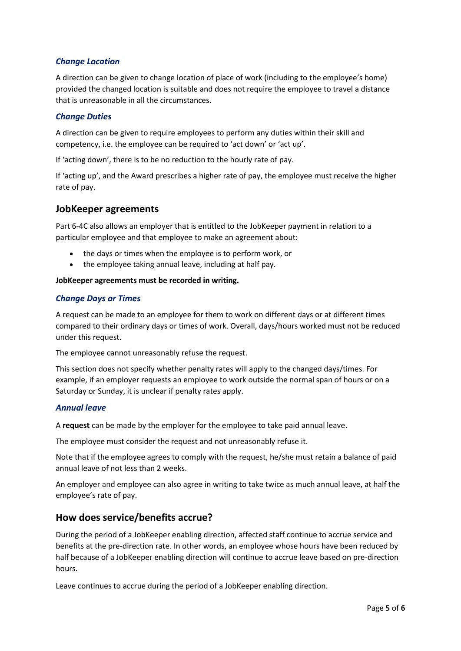#### *Change Location*

A direction can be given to change location of place of work (including to the employee's home) provided the changed location is suitable and does not require the employee to travel a distance that is unreasonable in all the circumstances.

#### *Change Duties*

A direction can be given to require employees to perform any duties within their skill and competency, i.e. the employee can be required to 'act down' or 'act up'.

If 'acting down', there is to be no reduction to the hourly rate of pay.

If 'acting up', and the Award prescribes a higher rate of pay, the employee must receive the higher rate of pay.

#### **JobKeeper agreements**

Part 6-4C also allows an employer that is entitled to the JobKeeper payment in relation to a particular employee and that employee to make an agreement about:

- the days or times when the employee is to perform work, or
- the employee taking annual leave, including at half pay.

#### **JobKeeper agreements must be recorded in writing.**

#### *Change Days or Times*

A request can be made to an employee for them to work on different days or at different times compared to their ordinary days or times of work. Overall, days/hours worked must not be reduced under this request.

The employee cannot unreasonably refuse the request.

This section does not specify whether penalty rates will apply to the changed days/times. For example, if an employer requests an employee to work outside the normal span of hours or on a Saturday or Sunday, it is unclear if penalty rates apply.

#### *Annual leave*

A **request** can be made by the employer for the employee to take paid annual leave.

The employee must consider the request and not unreasonably refuse it.

Note that if the employee agrees to comply with the request, he/she must retain a balance of paid annual leave of not less than 2 weeks.

An employer and employee can also agree in writing to take twice as much annual leave, at half the employee's rate of pay.

### **How does service/benefits accrue?**

During the period of a JobKeeper enabling direction, affected staff continue to accrue service and benefits at the pre-direction rate. In other words, an employee whose hours have been reduced by half because of a JobKeeper enabling direction will continue to accrue leave based on pre-direction hours.

Leave continues to accrue during the period of a JobKeeper enabling direction.